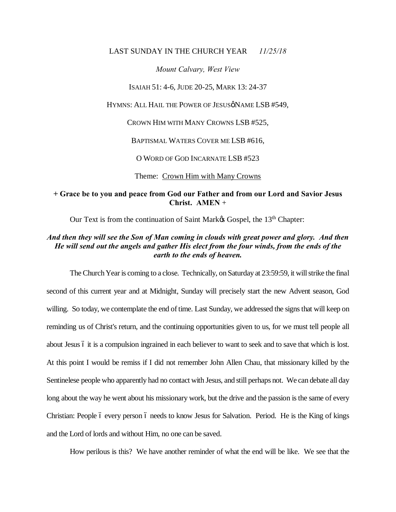#### LAST SUNDAY IN THE CHURCH YEAR *11/25/18*

#### *Mount Calvary, West View*

ISAIAH 51: 4-6, JUDE 20-25, MARK 13: 24-37

HYMNS: ALL HAIL THE POWER OF JESUSØNAME LSB #549,

CROWN HIM WITH MANY CROWNS LSB #525,

BAPTISMAL WATERS COVER ME LSB #616,

O WORD OF GOD INCARNATE LSB #523

Theme: Crown Him with Many Crowns

# **+ Grace be to you and peace from God our Father and from our Lord and Savior Jesus Christ. AMEN** +

Our Text is from the continuation of Saint Market Gospel, the 13<sup>th</sup> Chapter:

## *And then they will see the Son of Man coming in clouds with great power and glory. And then He will send out the angels and gather His elect from the four winds, from the ends of the earth to the ends of heaven.*

The Church Year is coming to a close. Technically, on Saturday at 23:59:59, it will strike the final second of this current year and at Midnight, Sunday will precisely start the new Advent season, God willing. So today, we contemplate the end of time. Last Sunday, we addressed the signs that will keep on reminding us of Christ's return, and the continuing opportunities given to us, for we must tell people all about Jesus 6 it is a compulsion ingrained in each believer to want to seek and to save that which is lost. At this point I would be remiss if I did not remember John Allen Chau, that missionary killed by the Sentinelese people who apparently had no contact with Jesus, and still perhaps not. We can debate all day long about the way he went about his missionary work, but the drive and the passion is the same of every Christian: People 6 every person 6 needs to know Jesus for Salvation. Period. He is the King of kings and the Lord of lords and without Him, no one can be saved.

How perilous is this? We have another reminder of what the end will be like. We see that the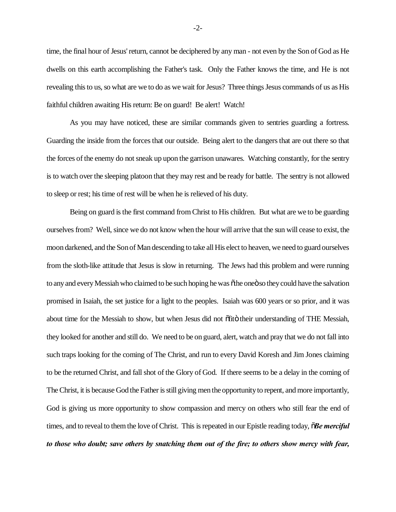time, the final hour of Jesus' return, cannot be deciphered by any man - not even by the Son of God as He dwells on this earth accomplishing the Father's task. Only the Father knows the time, and He is not revealing this to us, so what are we to do as we wait for Jesus? Three things Jesus commands of us as His faithful children awaiting His return: Be on guard! Be alert! Watch!

As you may have noticed, these are similar commands given to sentries guarding a fortress. Guarding the inside from the forces that our outside. Being alert to the dangers that are out there so that the forces of the enemy do not sneak up upon the garrison unawares. Watching constantly, for the sentry is to watch over the sleeping platoon that they may rest and be ready for battle. The sentry is not allowed to sleep or rest; his time of rest will be when he is relieved of his duty.

Being on guard is the first command from Christ to His children. But what are we to be guarding ourselves from? Well, since we do not know when the hour will arrive that the sun will cease to exist, the moon darkened, and the Son of Man descending to take all His elect to heaven, we need to guard ourselves from the sloth-like attitude that Jesus is slow in returning. The Jews had this problem and were running to any and every Messiah who claimed to be such hoping he was  $\tilde{\sigma}$ the one $\tilde{\sigma}$  so they could have the salvation promised in Isaiah, the set justice for a light to the peoples. Isaiah was 600 years or so prior, and it was about time for the Messiah to show, but when Jesus did not  $\tilde{\text{of}}$  their understanding of THE Messiah, they looked for another and still do. We need to be on guard, alert, watch and pray that we do not fall into such traps looking for the coming of The Christ, and run to every David Koresh and Jim Jones claiming to be the returned Christ, and fall shot of the Glory of God. If there seems to be a delay in the coming of The Christ, it is because God the Father is still giving men the opportunity to repent, and more importantly, God is giving us more opportunity to show compassion and mercy on others who still fear the end of times, and to reveal to them the love of Christ. This is repeated in our Epistle reading today,  $\tilde{o}$ *Be merciful to those who doubt; save others by snatching them out of the fire; to others show mercy with fear,*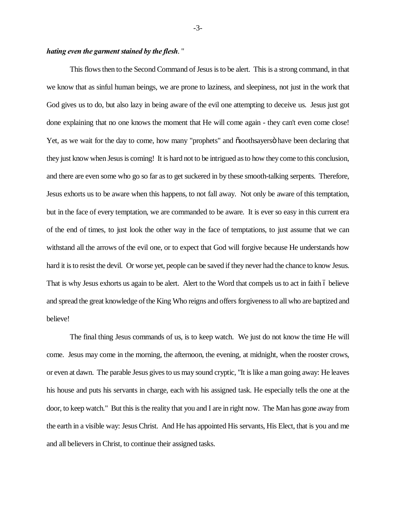### *hating even the garment stained by the flesh*. "

This flows then to the Second Command of Jesus is to be alert. This is a strong command, in that we know that as sinful human beings, we are prone to laziness, and sleepiness, not just in the work that God gives us to do, but also lazy in being aware of the evil one attempting to deceive us. Jesus just got done explaining that no one knows the moment that He will come again - they can't even come close! Yet, as we wait for the day to come, how many "prophets" and  $\tilde{\text{osoot}}$  have been declaring that they just know when Jesus is coming! It is hard not to be intrigued as to how they come to this conclusion, and there are even some who go so far as to get suckered in by these smooth-talking serpents. Therefore, Jesus exhorts us to be aware when this happens, to not fall away. Not only be aware of this temptation, but in the face of every temptation, we are commanded to be aware. It is ever so easy in this current era of the end of times, to just look the other way in the face of temptations, to just assume that we can withstand all the arrows of the evil one, or to expect that God will forgive because He understands how hard it is to resist the devil. Or worse yet, people can be saved if they never had the chance to know Jesus. That is why Jesus exhorts us again to be alert. Alert to the Word that compels us to act in faith 6 believe and spread the great knowledge of the King Who reigns and offers forgiveness to all who are baptized and believe!

The final thing Jesus commands of us, is to keep watch. We just do not know the time He will come. Jesus may come in the morning, the afternoon, the evening, at midnight, when the rooster crows, or even at dawn. The parable Jesus gives to us may sound cryptic, "It is like a man going away: He leaves his house and puts his servants in charge, each with his assigned task. He especially tells the one at the door, to keep watch." But this is the reality that you and I are in right now. The Man has gone away from the earth in a visible way: Jesus Christ. And He has appointed His servants, His Elect, that is you and me and all believers in Christ, to continue their assigned tasks.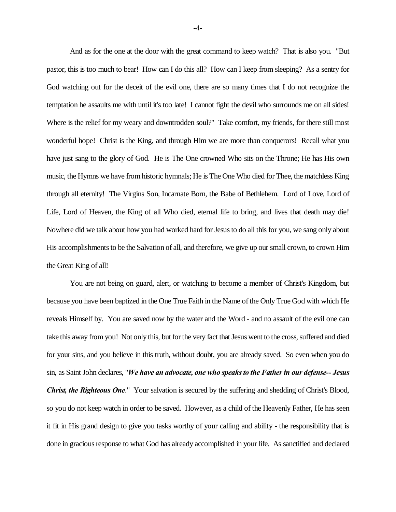And as for the one at the door with the great command to keep watch? That is also you. "But pastor, this is too much to bear! How can I do this all? How can I keep from sleeping? As a sentry for God watching out for the deceit of the evil one, there are so many times that I do not recognize the temptation he assaults me with until it's too late! I cannot fight the devil who surrounds me on all sides! Where is the relief for my weary and downtrodden soul?" Take comfort, my friends, for there still most wonderful hope! Christ is the King, and through Him we are more than conquerors! Recall what you have just sang to the glory of God. He is The One crowned Who sits on the Throne; He has His own music, the Hymns we have from historic hymnals; He is The One Who died for Thee, the matchless King through all eternity! The Virgins Son, Incarnate Born, the Babe of Bethlehem. Lord of Love, Lord of Life, Lord of Heaven, the King of all Who died, eternal life to bring, and lives that death may die! Nowhere did we talk about how you had worked hard for Jesus to do all this for you, we sang only about His accomplishments to be the Salvation of all, and therefore, we give up our small crown, to crown Him the Great King of all!

You are not being on guard, alert, or watching to become a member of Christ's Kingdom, but because you have been baptized in the One True Faith in the Name of the Only True God with which He reveals Himself by. You are saved now by the water and the Word - and no assault of the evil one can take this away from you! Not only this, but for the very fact that Jesus went to the cross, suffered and died for your sins, and you believe in this truth, without doubt, you are already saved. So even when you do sin, as Saint John declares, "*We have an advocate, one who speaks to the Father in our defense-- Jesus Christ, the Righteous One*." Your salvation is secured by the suffering and shedding of Christ's Blood, so you do not keep watch in order to be saved. However, as a child of the Heavenly Father, He has seen it fit in His grand design to give you tasks worthy of your calling and ability - the responsibility that is done in gracious response to what God has already accomplished in your life. As sanctified and declared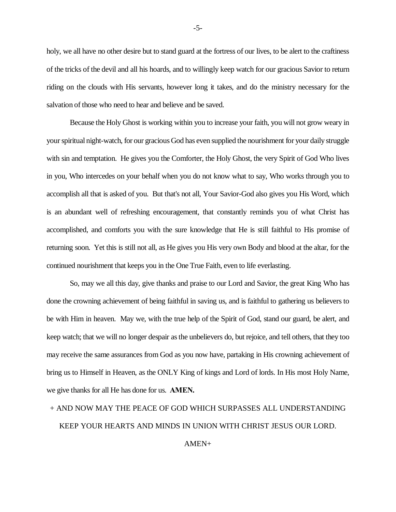holy, we all have no other desire but to stand guard at the fortress of our lives, to be alert to the craftiness of the tricks of the devil and all his hoards, and to willingly keep watch for our gracious Savior to return riding on the clouds with His servants, however long it takes, and do the ministry necessary for the salvation of those who need to hear and believe and be saved.

Because the Holy Ghost is working within you to increase your faith, you will not grow weary in your spiritual night-watch, for our gracious God has even supplied the nourishment for your daily struggle with sin and temptation. He gives you the Comforter, the Holy Ghost, the very Spirit of God Who lives in you, Who intercedes on your behalf when you do not know what to say, Who works through you to accomplish all that is asked of you. But that's not all, Your Savior-God also gives you His Word, which is an abundant well of refreshing encouragement, that constantly reminds you of what Christ has accomplished, and comforts you with the sure knowledge that He is still faithful to His promise of returning soon. Yet this is still not all, as He gives you His very own Body and blood at the altar, for the continued nourishment that keeps you in the One True Faith, even to life everlasting.

So, may we all this day, give thanks and praise to our Lord and Savior, the great King Who has done the crowning achievement of being faithful in saving us, and is faithful to gathering us believers to be with Him in heaven. May we, with the true help of the Spirit of God, stand our guard, be alert, and keep watch; that we will no longer despair as the unbelievers do, but rejoice, and tell others, that they too may receive the same assurances from God as you now have, partaking in His crowning achievement of bring us to Himself in Heaven, as the ONLY King of kings and Lord of lords. In His most Holy Name, we give thanks for all He has done for us. **AMEN.**

# + AND NOW MAY THE PEACE OF GOD WHICH SURPASSES ALL UNDERSTANDING KEEP YOUR HEARTS AND MINDS IN UNION WITH CHRIST JESUS OUR LORD.

#### AMEN+

-5-